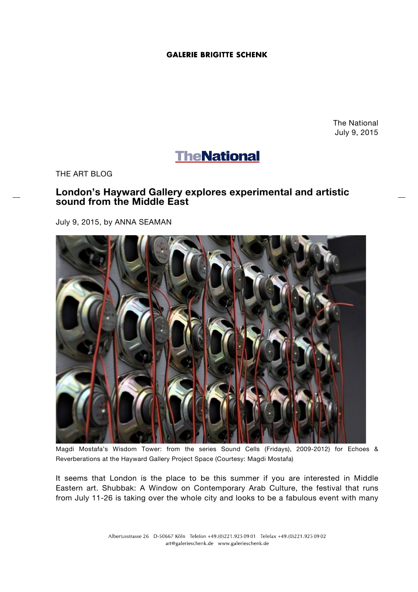## **GALERIE BRIGITTE SCHENK**

The National July 9, 2015

## **TheNational**

THE ART BLOG

## **London's Hayward Gallery explores experimental and artistic sound from the Middle East**

July 9, 2015, by ANNA SEAMAN



Magdi Mostafa's Wisdom Tower: from the series Sound Cells (Fridays), 2009-2012) for Echoes & Reverberations at the Hayward Gallery Project Space (Courtesy: Magdi Mostafa)

It seems that London is the place to be this summer if you are interested in Middle Eastern art. Shubbak: A Window on Contemporary Arab Culture, the festival that runs from July 11-26 is taking over the whole city and looks to be a fabulous event with many